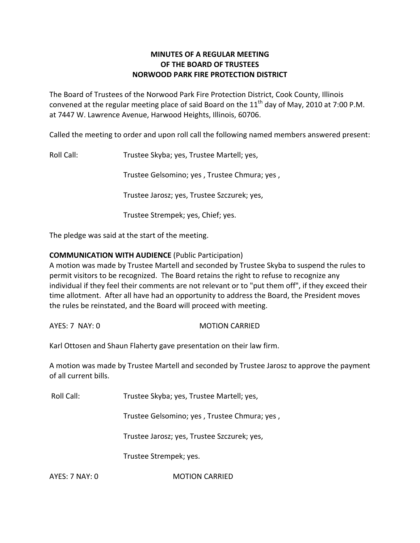# **MINUTES OF A REGULAR MEETING OF THE BOARD OF TRUSTEES NORWOOD PARK FIRE PROTECTION DISTRICT**

The Board of Trustees of the Norwood Park Fire Protection District, Cook County, Illinois convened at the regular meeting place of said Board on the  $11<sup>th</sup>$  day of May, 2010 at 7:00 P.M. at 7447 W. Lawrence Avenue, Harwood Heights, Illinois, 60706.

Called the meeting to order and upon roll call the following named members answered present:

Roll Call: Trustee Skyba; yes, Trustee Martell; yes,

Trustee Gelsomino; yes , Trustee Chmura; yes ,

Trustee Jarosz; yes, Trustee Szczurek; yes,

Trustee Strempek; yes, Chief; yes.

The pledge was said at the start of the meeting.

# **COMMUNICATION WITH AUDIENCE** (Public Participation)

A motion was made by Trustee Martell and seconded by Trustee Skyba to suspend the rules to permit visitors to be recognized. The Board retains the right to refuse to recognize any individual if they feel their comments are not relevant or to "put them off", if they exceed their time allotment. After all have had an opportunity to address the Board, the President moves the rules be reinstated, and the Board will proceed with meeting.

AYES: 7 NAY: 0 MOTION CARRIED

Karl Ottosen and Shaun Flaherty gave presentation on their law firm.

A motion was made by Trustee Martell and seconded by Trustee Jarosz to approve the payment of all current bills.

Roll Call: Trustee Skyba; yes, Trustee Martell; yes,

Trustee Gelsomino; yes , Trustee Chmura; yes ,

Trustee Jarosz; yes, Trustee Szczurek; yes,

Trustee Strempek; yes.

AYES: 7 NAY: 0 **MOTION CARRIED**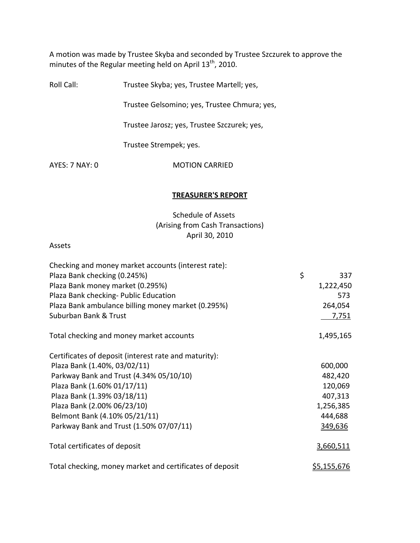A motion was made by Trustee Skyba and seconded by Trustee Szczurek to approve the minutes of the Regular meeting held on April  $13^{th}$ , 2010.

Roll Call: Trustee Skyba; yes, Trustee Martell; yes,

Trustee Gelsomino; yes, Trustee Chmura; yes,

Trustee Jarosz; yes, Trustee Szczurek; yes,

Trustee Strempek; yes.

AYES: 7 NAY: 0 **MOTION CARRIED** 

#### **TREASURER'S REPORT**

# Schedule of Assets (Arising from Cash Transactions) April 30, 2010

#### Assets

| Checking and money market accounts (interest rate):      |                    |
|----------------------------------------------------------|--------------------|
| Plaza Bank checking (0.245%)                             | \$<br>337          |
| Plaza Bank money market (0.295%)                         | 1,222,450          |
| Plaza Bank checking- Public Education                    | 573                |
| Plaza Bank ambulance billing money market (0.295%)       | 264,054            |
| Suburban Bank & Trust                                    | <u>7,751</u>       |
| Total checking and money market accounts                 | 1,495,165          |
| Certificates of deposit (interest rate and maturity):    |                    |
| Plaza Bank (1.40%, 03/02/11)                             | 600,000            |
| Parkway Bank and Trust (4.34% 05/10/10)                  | 482,420            |
| Plaza Bank (1.60% 01/17/11)                              | 120,069            |
| Plaza Bank (1.39% 03/18/11)                              | 407,313            |
| Plaza Bank (2.00% 06/23/10)                              | 1,256,385          |
| Belmont Bank (4.10% 05/21/11)                            | 444,688            |
| Parkway Bank and Trust (1.50% 07/07/11)                  | 349,636            |
| Total certificates of deposit                            | 3,660,511          |
| Total checking, money market and certificates of deposit | <u>\$5,155,676</u> |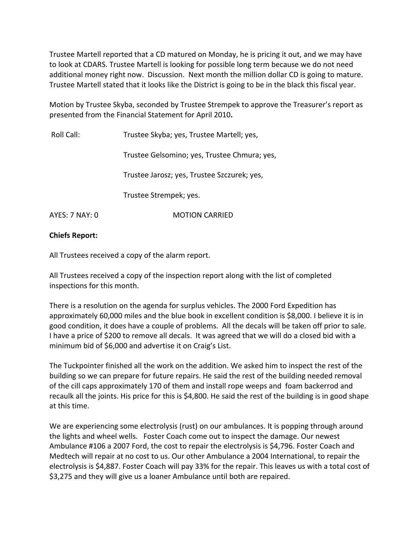Trustee Martell reported that a CD matured on Monday, he is pricing it out, and we may have to look at CDARS. Trustee Martell is looking for possible long term because we do not need additional money right now. Discussion. Next month the million dollar CD is going to mature. Trustee Martell stated that it looks like the District is going to be in the black this fiscal year.

Motion by Trustee Skyba, seconded by Trustee Strempek to approve the Treasurer's report as presented from the Financial Statement for April 2010**.**

| Roll Call:     | Trustee Skyba; yes, Trustee Martell; yes,    |
|----------------|----------------------------------------------|
|                | Trustee Gelsomino; yes, Trustee Chmura; yes, |
|                | Trustee Jarosz; yes, Trustee Szczurek; yes,  |
|                | Trustee Strempek; yes.                       |
| AYES: 7 NAY: 0 | <b>MOTION CARRIED</b>                        |

### **Chiefs Report:**

All Trustees received a copy of the alarm report.

All Trustees received a copy of the inspection report along with the list of completed inspections for this month.

There is a resolution on the agenda for surplus vehicles. The 2000 Ford Expedition has approximately 60,000 miles and the blue book in excellent condition is \$8,000. I believe it is in good condition, it does have a couple of problems. All the decals will be taken off prior to sale. I have a price of \$200 to remove all decals. It was agreed that we will do a closed bid with a minimum bid of \$6,000 and advertise it on Craig's List.

The Tuckpointer finished all the work on the addition. We asked him to inspect the rest of the building so we can prepare for future repairs. He said the rest of the building needed removal of the cill caps approximately 170 of them and install rope weeps and foam backerrod and recaulk all the joints. His price for this is \$4,800. He said the rest of the building is in good shape at this time.

We are experiencing some electrolysis (rust) on our ambulances. It is popping through around the lights and wheel wells. Foster Coach come out to inspect the damage. Our newest Ambulance #106 a 2007 Ford, the cost to repair the electrolysis is \$4,796. Foster Coach and Medtech will repair at no cost to us. Our other Ambulance a 2004 International, to repair the electrolysis is \$4,887. Foster Coach will pay 33% for the repair. This leaves us with a total cost of \$3,275 and they will give us a loaner Ambulance until both are repaired.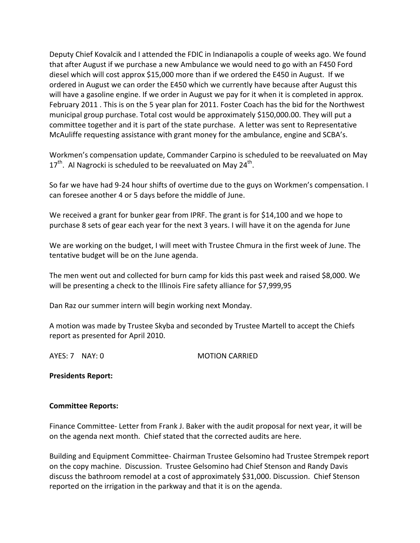Deputy Chief Kovalcik and I attended the FDIC in Indianapolis a couple of weeks ago. We found that after August if we purchase a new Ambulance we would need to go with an F450 Ford diesel which will cost approx \$15,000 more than if we ordered the E450 in August. If we ordered in August we can order the E450 which we currently have because after August this will have a gasoline engine. If we order in August we pay for it when it is completed in approx. February 2011 . This is on the 5 year plan for 2011. Foster Coach has the bid for the Northwest municipal group purchase. Total cost would be approximately \$150,000.00. They will put a committee together and it is part of the state purchase. A letter was sent to Representative McAuliffe requesting assistance with grant money for the ambulance, engine and SCBA's.

Workmen's compensation update, Commander Carpino is scheduled to be reevaluated on May 17<sup>th</sup>. Al Nagrocki is scheduled to be reevaluated on May 24<sup>th</sup>.

So far we have had 9‐24 hour shifts of overtime due to the guys on Workmen's compensation. I can foresee another 4 or 5 days before the middle of June.

We received a grant for bunker gear from IPRF. The grant is for \$14,100 and we hope to purchase 8 sets of gear each year for the next 3 years. I will have it on the agenda for June

We are working on the budget, I will meet with Trustee Chmura in the first week of June. The tentative budget will be on the June agenda.

The men went out and collected for burn camp for kids this past week and raised \$8,000. We will be presenting a check to the Illinois Fire safety alliance for \$7,999,95

Dan Raz our summer intern will begin working next Monday.

A motion was made by Trustee Skyba and seconded by Trustee Martell to accept the Chiefs report as presented for April 2010.

AYES: 7 NAY: 0 MOTION CARRIED

**Presidents Report:** 

### **Committee Reports:**

Finance Committee‐ Letter from Frank J. Baker with the audit proposal for next year, it will be on the agenda next month. Chief stated that the corrected audits are here.

Building and Equipment Committee‐ Chairman Trustee Gelsomino had Trustee Strempek report on the copy machine. Discussion. Trustee Gelsomino had Chief Stenson and Randy Davis discuss the bathroom remodel at a cost of approximately \$31,000. Discussion. Chief Stenson reported on the irrigation in the parkway and that it is on the agenda.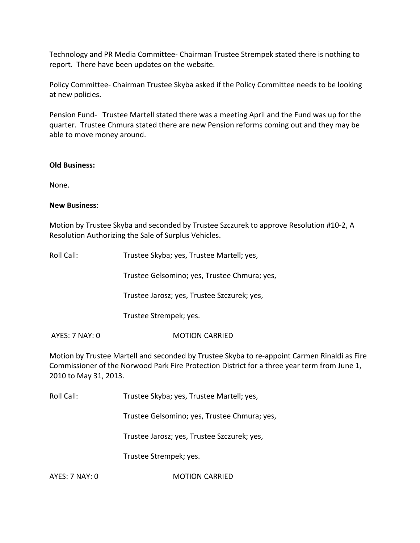Technology and PR Media Committee‐ Chairman Trustee Strempek stated there is nothing to report. There have been updates on the website.

Policy Committee‐ Chairman Trustee Skyba asked if the Policy Committee needs to be looking at new policies.

Pension Fund- Trustee Martell stated there was a meeting April and the Fund was up for the quarter. Trustee Chmura stated there are new Pension reforms coming out and they may be able to move money around.

# **Old Business:**

None.

# **New Business**:

Motion by Trustee Skyba and seconded by Trustee Szczurek to approve Resolution #10‐2, A Resolution Authorizing the Sale of Surplus Vehicles.

| Roll Call: | Trustee Skyba; yes, Trustee Martell; yes,    |
|------------|----------------------------------------------|
|            | Trustee Gelsomino; yes, Trustee Chmura; yes, |
|            | Trustee Jarosz; yes, Trustee Szczurek; yes,  |
|            | Trustee Strempek; yes.                       |
|            |                                              |

AYES: 7 NAY: 0 MOTION CARRIED

Motion by Trustee Martell and seconded by Trustee Skyba to re‐appoint Carmen Rinaldi as Fire Commissioner of the Norwood Park Fire Protection District for a three year term from June 1, 2010 to May 31, 2013.

Roll Call: Trustee Skyba; yes, Trustee Martell; yes,

Trustee Gelsomino; yes, Trustee Chmura; yes,

Trustee Jarosz; yes, Trustee Szczurek; yes,

Trustee Strempek; yes.

AYES: 7 NAY: 0 **MOTION CARRIED**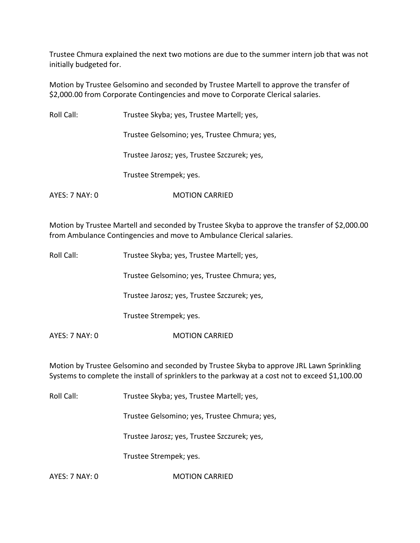Trustee Chmura explained the next two motions are due to the summer intern job that was not initially budgeted for.

Motion by Trustee Gelsomino and seconded by Trustee Martell to approve the transfer of \$2,000.00 from Corporate Contingencies and move to Corporate Clerical salaries.

| Roll Call:     | Trustee Skyba; yes, Trustee Martell; yes,    |
|----------------|----------------------------------------------|
|                | Trustee Gelsomino; yes, Trustee Chmura; yes, |
|                | Trustee Jarosz; yes, Trustee Szczurek; yes,  |
|                | Trustee Strempek; yes.                       |
| AYES: 7 NAY: 0 | <b>MOTION CARRIED</b>                        |

Motion by Trustee Martell and seconded by Trustee Skyba to approve the transfer of \$2,000.00 from Ambulance Contingencies and move to Ambulance Clerical salaries.

| Roll Call: | Trustee Skyba; yes, Trustee Martell; yes, |
|------------|-------------------------------------------|
|------------|-------------------------------------------|

Trustee Gelsomino; yes, Trustee Chmura; yes,

Trustee Jarosz; yes, Trustee Szczurek; yes,

Trustee Strempek; yes.

AYES: 7 NAY: 0 **MOTION CARRIED** 

Motion by Trustee Gelsomino and seconded by Trustee Skyba to approve JRL Lawn Sprinkling Systems to complete the install of sprinklers to the parkway at a cost not to exceed \$1,100.00

Roll Call: Trustee Skyba; yes, Trustee Martell; yes,

Trustee Gelsomino; yes, Trustee Chmura; yes,

Trustee Jarosz; yes, Trustee Szczurek; yes,

Trustee Strempek; yes.

AYES: 7 NAY: 0 **MOTION CARRIED**